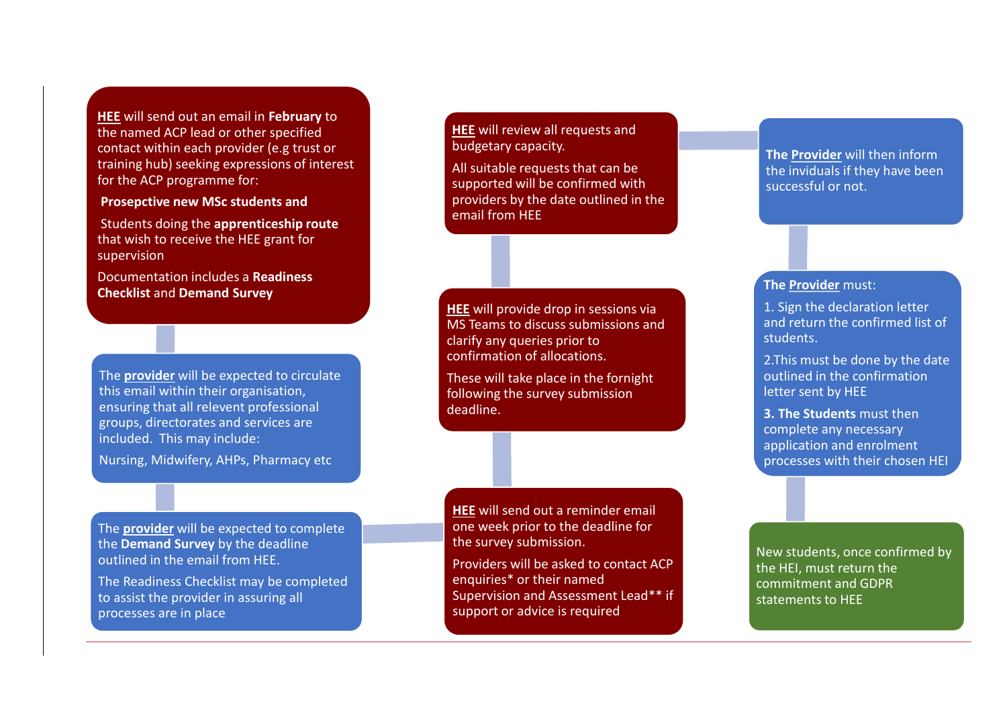**HEE** will send out an email in **February** to the named ACP lead or other specified contact within each provider (e.g trust or training hub) seeking expressions of interest for the ACP programme for:

**Prosepctive new MSc students and**

Students doing the **apprenticeship route**  that wish to receive the HEE grant for supervision

Documentation includes a **Readiness Checklist** and **Demand Survey**

The **provider** will be expected to circulate this email within their organisation, ensuring that all relevent professional groups, directorates and services are included. This may include:

Nursing, Midwifery, AHPs, Pharmacy etc

The **provider** will be expected to complete the **Demand Survey** by the deadline outlined in the email from HEE.

The Readiness Checklist may be completed to assist the provider in assuring all processes are in place

**HEE** will review all requests and budgetary capacity.

All suitable requests that can be supported will be confirmed with providers by the date outlined in the email from HEE

**HEE** will provide drop in sessions via MS Teams to discuss submissions and clarify any queries prior to confirmation of allocations.

These will take place in the fornight following the survey submission deadline.

**HEE** will send out a reminder email one week prior to the deadline for the survey submission.

Providers will be asked to contact ACP enquiries\* or their named Supervision and Assessment Lead\*\* if support or advice is required

**The Provider** will then inform the inviduals if they have been successful or not.

## **The Provider** must:

1. Sign the declaration letter and return the confirmed list of students.

2.This must be done by the date outlined in the confirmation letter sent by HEE

**3. The Students** must then complete any necessary application and enrolment processes with their chosen HEI

New students, once confirmed by the HEI, must return the commitment and GDPR statements to HEE